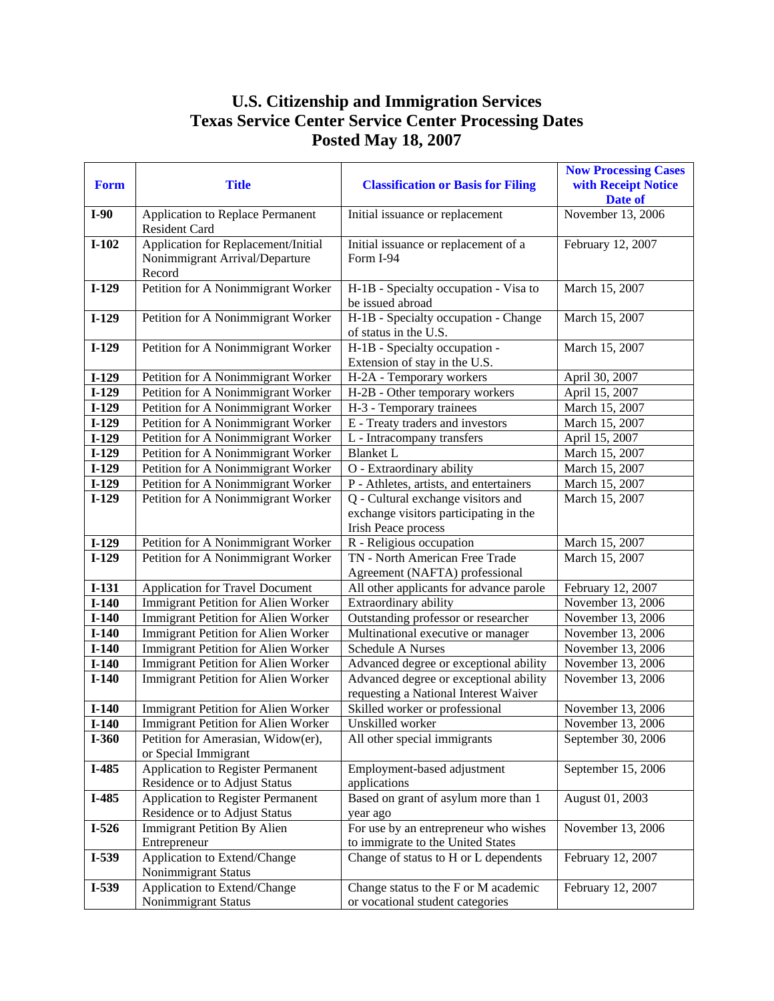## **U.S. Citizenship and Immigration Services Texas Service Center Service Center Processing Dates Posted May 18, 2007**

| <b>Form</b> | <b>Title</b>                                                                    | <b>Classification or Basis for Filing</b>                                       | <b>Now Processing Cases</b><br>with Receipt Notice<br>Date of |
|-------------|---------------------------------------------------------------------------------|---------------------------------------------------------------------------------|---------------------------------------------------------------|
| $I-90$      | Application to Replace Permanent<br>Resident Card                               | Initial issuance or replacement                                                 | November 13, 2006                                             |
| $I-102$     | Application for Replacement/Initial<br>Nonimmigrant Arrival/Departure<br>Record | Initial issuance or replacement of a<br>Form I-94                               | February 12, 2007                                             |
| $I-129$     | Petition for A Nonimmigrant Worker                                              | H-1B - Specialty occupation - Visa to<br>be issued abroad                       | March 15, 2007                                                |
| $I-129$     | Petition for A Nonimmigrant Worker                                              | H-1B - Specialty occupation - Change<br>of status in the U.S.                   | March 15, 2007                                                |
| $I-129$     | Petition for A Nonimmigrant Worker                                              | H-1B - Specialty occupation -<br>Extension of stay in the U.S.                  | March 15, 2007                                                |
| $I-129$     | Petition for A Nonimmigrant Worker                                              | H-2A - Temporary workers                                                        | April 30, 2007                                                |
| $I-129$     | Petition for A Nonimmigrant Worker                                              | H-2B - Other temporary workers                                                  | April 15, 2007                                                |
| $I-129$     | Petition for A Nonimmigrant Worker                                              | H-3 - Temporary trainees                                                        | March 15, 2007                                                |
| $I-129$     | Petition for A Nonimmigrant Worker                                              | E - Treaty traders and investors                                                | March 15, 2007                                                |
| $I-129$     | Petition for A Nonimmigrant Worker                                              | L - Intracompany transfers                                                      | April 15, 2007                                                |
| $I-129$     | Petition for A Nonimmigrant Worker                                              | Blanket L                                                                       | March 15, 2007                                                |
| $I-129$     | Petition for A Nonimmigrant Worker                                              | O - Extraordinary ability                                                       | March 15, 2007                                                |
| $I-129$     | Petition for A Nonimmigrant Worker                                              | P - Athletes, artists, and entertainers                                         | March 15, 2007                                                |
| $I-129$     | Petition for A Nonimmigrant Worker                                              | Q - Cultural exchange visitors and                                              | March 15, 2007                                                |
|             |                                                                                 | exchange visitors participating in the<br>Irish Peace process                   |                                                               |
| $I-129$     | Petition for A Nonimmigrant Worker                                              | R - Religious occupation                                                        | March 15, 2007                                                |
| $I-129$     | Petition for A Nonimmigrant Worker                                              | TN - North American Free Trade<br>Agreement (NAFTA) professional                | March 15, 2007                                                |
| $I-131$     | <b>Application for Travel Document</b>                                          | All other applicants for advance parole                                         | February 12, 2007                                             |
| $I-140$     | Immigrant Petition for Alien Worker                                             | Extraordinary ability                                                           | November 13, 2006                                             |
| $I-140$     | Immigrant Petition for Alien Worker                                             | Outstanding professor or researcher                                             | November 13, 2006                                             |
| $I-140$     | Immigrant Petition for Alien Worker                                             | Multinational executive or manager                                              | November 13, 2006                                             |
| $I-140$     | Immigrant Petition for Alien Worker                                             | <b>Schedule A Nurses</b>                                                        | November 13, 2006                                             |
| $I-140$     | <b>Immigrant Petition for Alien Worker</b>                                      | Advanced degree or exceptional ability                                          | November 13, 2006                                             |
| $I-140$     | Immigrant Petition for Alien Worker                                             | Advanced degree or exceptional ability<br>requesting a National Interest Waiver | November 13, 2006                                             |
| $I-140$     | Immigrant Petition for Alien Worker                                             | Skilled worker or professional                                                  | November 13, 2006                                             |
| $I-140$     | Immigrant Petition for Alien Worker                                             | Unskilled worker                                                                | November 13, 2006                                             |
| $I-360$     | Petition for Amerasian, Widow(er),<br>or Special Immigrant                      | All other special immigrants                                                    | September 30, 2006                                            |
| I-485       | <b>Application to Register Permanent</b><br>Residence or to Adjust Status       | Employment-based adjustment<br>applications                                     | September 15, 2006                                            |
| I-485       | <b>Application to Register Permanent</b>                                        | Based on grant of asylum more than 1                                            | August 01, 2003                                               |
|             | Residence or to Adjust Status                                                   | year ago                                                                        |                                                               |
| $I-526$     | <b>Immigrant Petition By Alien</b>                                              | For use by an entrepreneur who wishes                                           | November 13, 2006                                             |
|             | Entrepreneur                                                                    | to immigrate to the United States                                               |                                                               |
| I-539       | Application to Extend/Change<br>Nonimmigrant Status                             | Change of status to H or L dependents                                           | February 12, 2007                                             |
| $I-539$     | Application to Extend/Change                                                    | Change status to the F or M academic                                            | February 12, 2007                                             |
|             | Nonimmigrant Status                                                             | or vocational student categories                                                |                                                               |